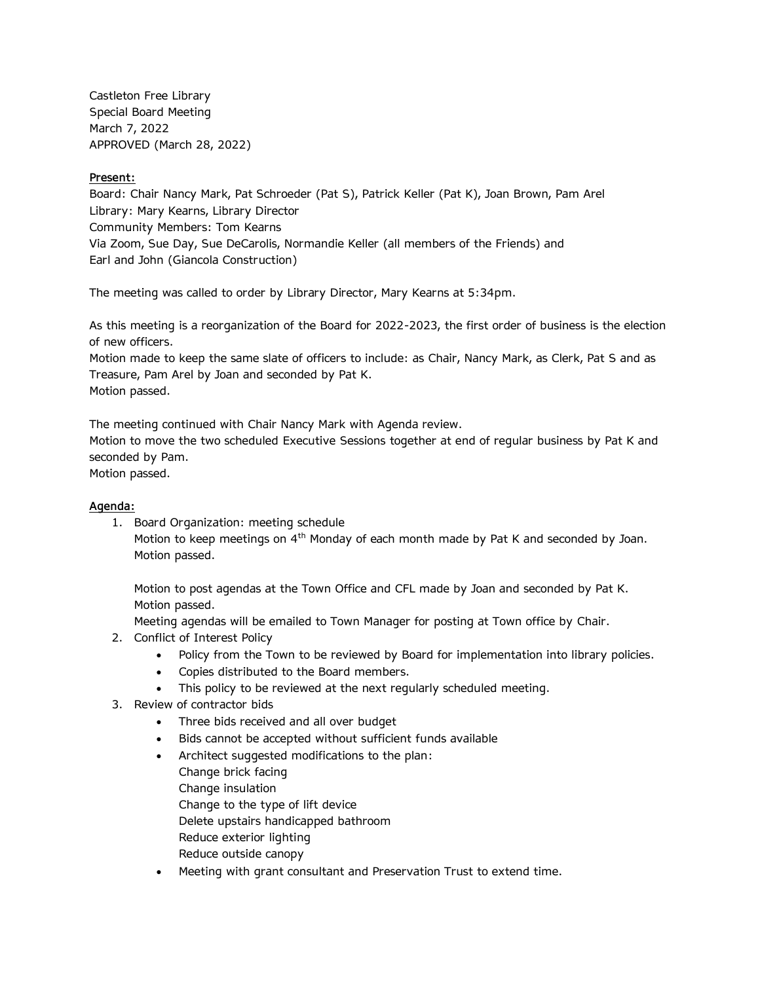Castleton Free Library Special Board Meeting March 7, 2022 APPROVED (March 28, 2022)

## **Present:**

Board: Chair Nancy Mark, Pat Schroeder (Pat S), Patrick Keller (Pat K), Joan Brown, Pam Arel Library: Mary Kearns, Library Director Community Members: Tom Kearns Via Zoom, Sue Day, Sue DeCarolis, Normandie Keller (all members of the Friends) and Earl and John (Giancola Construction)

The meeting was called to order by Library Director, Mary Kearns at 5:34pm.

As this meeting is a reorganization of the Board for 2022-2023, the first order of business is the election of new officers.

Motion made to keep the same slate of officers to include: as Chair, Nancy Mark, as Clerk, Pat S and as Treasure, Pam Arel by Joan and seconded by Pat K. Motion passed.

The meeting continued with Chair Nancy Mark with Agenda review.

Motion to move the two scheduled Executive Sessions together at end of regular business by Pat K and seconded by Pam.

Motion passed.

## **Agenda:**

1. Board Organization: meeting schedule

Motion to keep meetings on 4<sup>th</sup> Monday of each month made by Pat K and seconded by Joan. Motion passed.

Motion to post agendas at the Town Office and CFL made by Joan and seconded by Pat K. Motion passed.

Meeting agendas will be emailed to Town Manager for posting at Town office by Chair.

- 2. Conflict of Interest Policy
	- Policy from the Town to be reviewed by Board for implementation into library policies.
	- Copies distributed to the Board members.
	- This policy to be reviewed at the next regularly scheduled meeting.
- 3. Review of contractor bids
	- Three bids received and all over budget
	- Bids cannot be accepted without sufficient funds available
	- Architect suggested modifications to the plan: Change brick facing Change insulation Change to the type of lift device Delete upstairs handicapped bathroom Reduce exterior lighting Reduce outside canopy
	- Meeting with grant consultant and Preservation Trust to extend time.